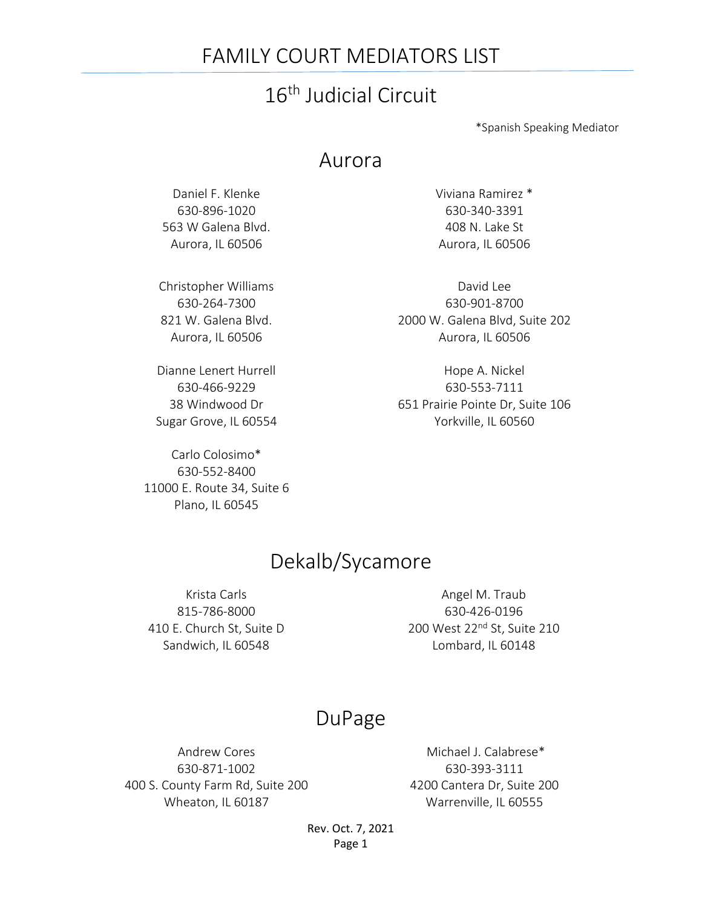### FAMILY COURT MEDIATORS LIST

# 16th Judicial Circuit

\*Spanish Speaking Mediator

#### Aurora

Daniel F. Klenke 630-896-1020 563 W Galena Blvd. Aurora, IL 60506

Christopher Williams 630-264-7300 821 W. Galena Blvd. Aurora, IL 60506

Dianne Lenert Hurrell 630-466-9229 38 Windwood Dr Sugar Grove, IL 60554

Carlo Colosimo\* 630-552-8400 11000 E. Route 34, Suite 6 Plano, IL 60545

Viviana Ramirez \* 630-340-3391 408 N. Lake St Aurora, IL 60506

David Lee 630-901-8700 2000 W. Galena Blvd, Suite 202 Aurora, IL 60506

Hope A. Nickel 630-553-7111 651 Prairie Pointe Dr, Suite 106 Yorkville, IL 60560

### Dekalb/Sycamore

Krista Carls 815-786-8000 410 E. Church St, Suite D Sandwich, IL 60548

Angel M. Traub 630-426-0196 200 West 22nd St, Suite 210 Lombard, IL 60148

#### DuPage

Andrew Cores 630-871-1002 400 S. County Farm Rd, Suite 200 Wheaton, IL 60187

Michael J. Calabrese\* 630-393-3111 4200 Cantera Dr, Suite 200 Warrenville, IL 60555

Rev. Oct. 7, 2021 Page 1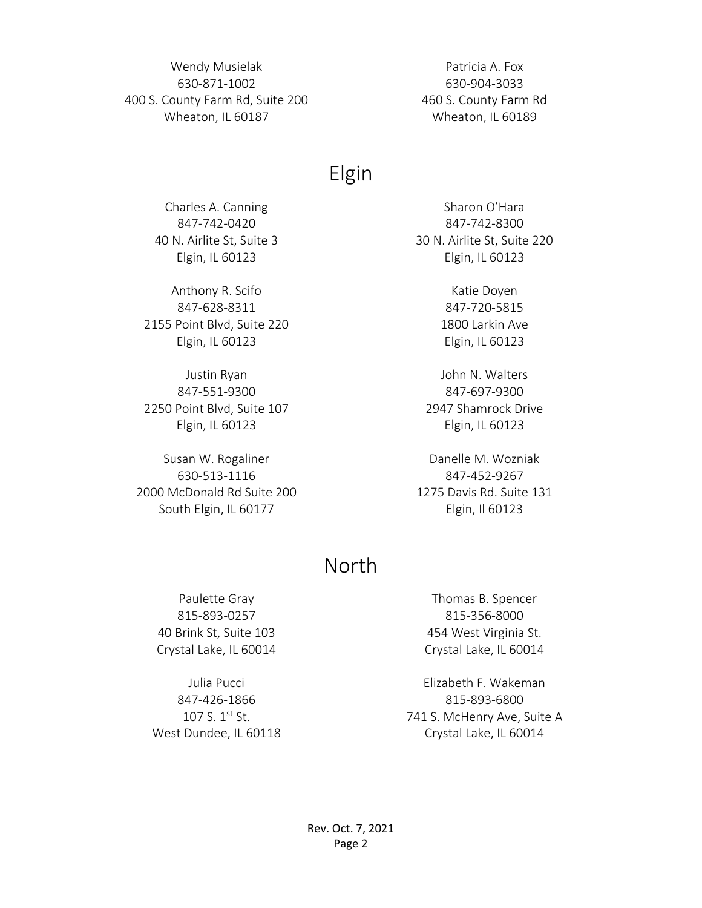Wendy Musielak 630-871-1002 400 S. County Farm Rd, Suite 200 Wheaton, IL 60187

Patricia A. Fox 630-904-3033 460 S. County Farm Rd Wheaton, IL 60189

## Elgin

Charles A. Canning 847-742-0420 40 N. Airlite St, Suite 3 Elgin, IL 60123

Anthony R. Scifo 847-628-8311 2155 Point Blvd, Suite 220 Elgin, IL 60123

Justin Ryan 847-551-9300 2250 Point Blvd, Suite 107 Elgin, IL 60123

Susan W. Rogaliner 630-513-1116 2000 McDonald Rd Suite 200 South Elgin, IL 60177

Sharon O'Hara 847-742-8300 30 N. Airlite St, Suite 220 Elgin, IL 60123

> Katie Doyen 847-720-5815 1800 Larkin Ave Elgin, IL 60123

John N. Walters 847-697-9300 2947 Shamrock Drive Elgin, IL 60123

Danelle M. Wozniak 847-452-9267 1275 Davis Rd. Suite 131 Elgin, Il 60123

### North

Paulette Gray 815-893-0257 40 Brink St, Suite 103 Crystal Lake, IL 60014

Julia Pucci 847-426-1866 107 S. 1st St. West Dundee, IL 60118

Thomas B. Spencer 815-356-8000 454 West Virginia St. Crystal Lake, IL 60014

Elizabeth F. Wakeman 815-893-6800 741 S. McHenry Ave, Suite A Crystal Lake, IL 60014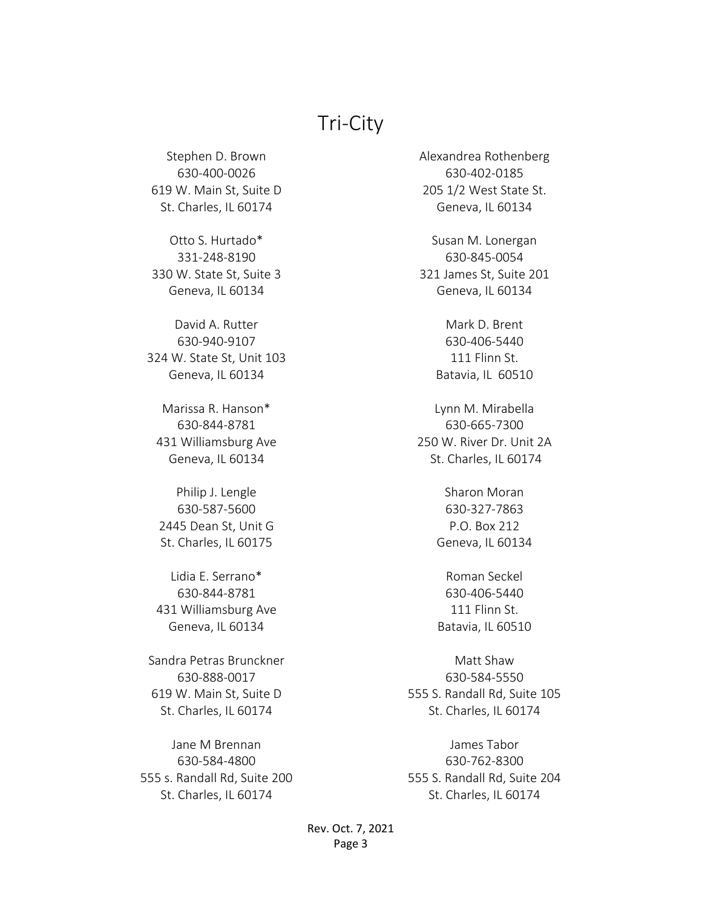### Tri-City

Stephen D. Brown 630-400-0026 619 W. Main St, Suite D St. Charles, IL 60174

Otto S. Hurtado\* 331-248-8190 330 W. State St, Suite 3 Geneva, IL 60134

David A. Rutter 630-940-9107 324 W. State St, Unit 103 Geneva, IL 60134

Marissa R. Hanson\* 630-844-8781 431 Williamsburg Ave Geneva, IL 60134

Philip J. Lengle 630-587-5600 2445 Dean St, Unit G St. Charles, IL 60175

Lidia E. Serrano\* 630-844-8781 431 Williamsburg Ave Geneva, IL 60134

Sandra Petras Brunckner 630-888-0017 619 W. Main St, Suite D St. Charles, IL 60174

Jane M Brennan 630-584-4800 555 s. Randall Rd, Suite 200 St. Charles, IL 60174

Alexandrea Rothenberg 630-402-0185 205 1/2 West State St. Geneva, IL 60134

Susan M. Lonergan 630-845-0054 321 James St, Suite 201 Geneva, IL 60134

> Mark D. Brent 630-406-5440 111 Flinn St. Batavia, IL 60510

Lynn M. Mirabella 630-665-7300 250 W. River Dr. Unit 2A St. Charles, IL 60174

> Sharon Moran 630-327-7863 P.O. Box 212 Geneva, IL 60134

> Roman Seckel 630-406-5440 111 Flinn St. Batavia, IL 60510

Matt Shaw 630-584-5550 555 S. Randall Rd, Suite 105 St. Charles, IL 60174

James Tabor 630-762-8300 555 S. Randall Rd, Suite 204 St. Charles, IL 60174